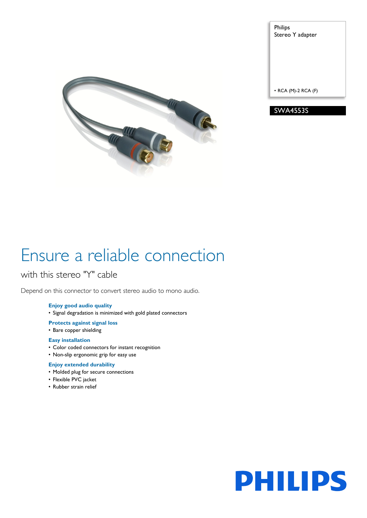

Philips Stereo Y adapter

• RCA (M)-2 RCA (F)

SWA4553S

# Ensure a reliable connection

with this stereo "Y" cable

Depend on this connector to convert stereo audio to mono audio.

## **Enjoy good audio quality**

• Signal degradation is minimized with gold plated connectors

## **Protects against signal loss**

• Bare copper shielding

## **Easy installation**

- Color coded connectors for instant recognition
- Non-slip ergonomic grip for easy use

## **Enjoy extended durability**

- Molded plug for secure connections
- Flexible PVC jacket
- Rubber strain relief